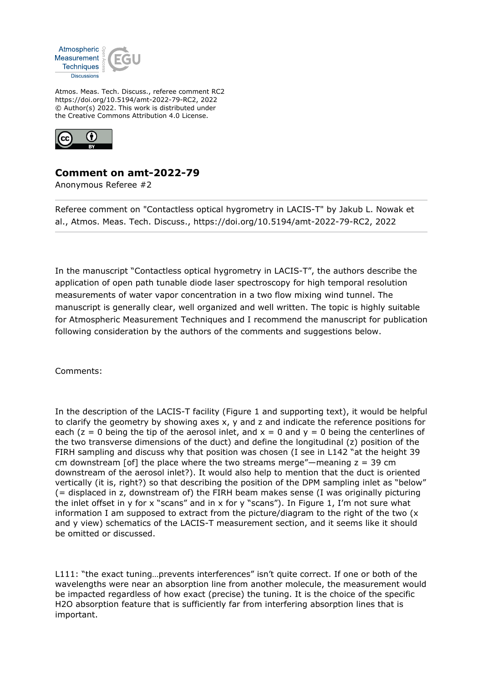

Atmos. Meas. Tech. Discuss., referee comment RC2 https://doi.org/10.5194/amt-2022-79-RC2, 2022 © Author(s) 2022. This work is distributed under the Creative Commons Attribution 4.0 License.



## **Comment on amt-2022-79**

Anonymous Referee #2

Referee comment on "Contactless optical hygrometry in LACIS-T" by Jakub L. Nowak et al., Atmos. Meas. Tech. Discuss., https://doi.org/10.5194/amt-2022-79-RC2, 2022

In the manuscript "Contactless optical hygrometry in LACIS-T", the authors describe the application of open path tunable diode laser spectroscopy for high temporal resolution measurements of water vapor concentration in a two flow mixing wind tunnel. The manuscript is generally clear, well organized and well written. The topic is highly suitable for Atmospheric Measurement Techniques and I recommend the manuscript for publication following consideration by the authors of the comments and suggestions below.

Comments:

In the description of the LACIS-T facility (Figure 1 and supporting text), it would be helpful to clarify the geometry by showing axes x, y and z and indicate the reference positions for each ( $z = 0$  being the tip of the aerosol inlet, and  $x = 0$  and  $y = 0$  being the centerlines of the two transverse dimensions of the duct) and define the longitudinal (z) position of the FIRH sampling and discuss why that position was chosen (I see in L142 "at the height 39 cm downstream [of] the place where the two streams merge"—meaning  $z = 39$  cm downstream of the aerosol inlet?). It would also help to mention that the duct is oriented vertically (it is, right?) so that describing the position of the DPM sampling inlet as "below" (= displaced in z, downstream of) the FIRH beam makes sense (I was originally picturing the inlet offset in y for x "scans" and in x for y "scans"). In Figure 1, I'm not sure what information I am supposed to extract from the picture/diagram to the right of the two  $(x + y)$ and y view) schematics of the LACIS-T measurement section, and it seems like it should be omitted or discussed.

L111: "the exact tuning...prevents interferences" isn't quite correct. If one or both of the wavelengths were near an absorption line from another molecule, the measurement would be impacted regardless of how exact (precise) the tuning. It is the choice of the specific H2O absorption feature that is sufficiently far from interfering absorption lines that is important.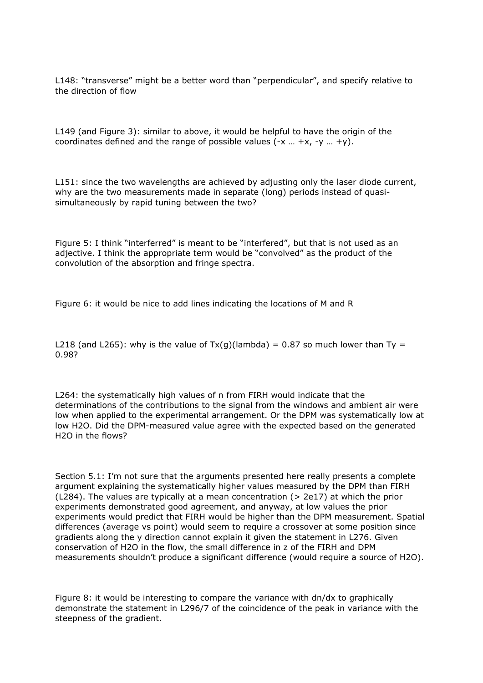L148: "transverse" might be a better word than "perpendicular", and specify relative to the direction of flow

L149 (and Figure 3): similar to above, it would be helpful to have the origin of the coordinates defined and the range of possible values  $(-x - x, -y - y)$ .

L151: since the two wavelengths are achieved by adjusting only the laser diode current, why are the two measurements made in separate (long) periods instead of quasisimultaneously by rapid tuning between the two?

Figure 5: I think "interferred" is meant to be "interfered", but that is not used as an adjective. I think the appropriate term would be "convolved" as the product of the convolution of the absorption and fringe spectra.

Figure 6: it would be nice to add lines indicating the locations of M and R

L218 (and L265): why is the value of  $Tx(q)(\text{lambda}) = 0.87$  so much lower than Ty = 0.98?

L264: the systematically high values of n from FIRH would indicate that the determinations of the contributions to the signal from the windows and ambient air were low when applied to the experimental arrangement. Or the DPM was systematically low at low H2O. Did the DPM-measured value agree with the expected based on the generated H2O in the flows?

Section 5.1: I'm not sure that the arguments presented here really presents a complete argument explaining the systematically higher values measured by the DPM than FIRH  $(L284)$ . The values are typically at a mean concentration ( $> 2e17$ ) at which the prior experiments demonstrated good agreement, and anyway, at low values the prior experiments would predict that FIRH would be higher than the DPM measurement. Spatial differences (average vs point) would seem to require a crossover at some position since gradients along the y direction cannot explain it given the statement in L276. Given conservation of H2O in the flow, the small difference in z of the FIRH and DPM measurements shouldn't produce a significant difference (would require a source of H2O).

Figure 8: it would be interesting to compare the variance with dn/dx to graphically demonstrate the statement in L296/7 of the coincidence of the peak in variance with the steepness of the gradient.